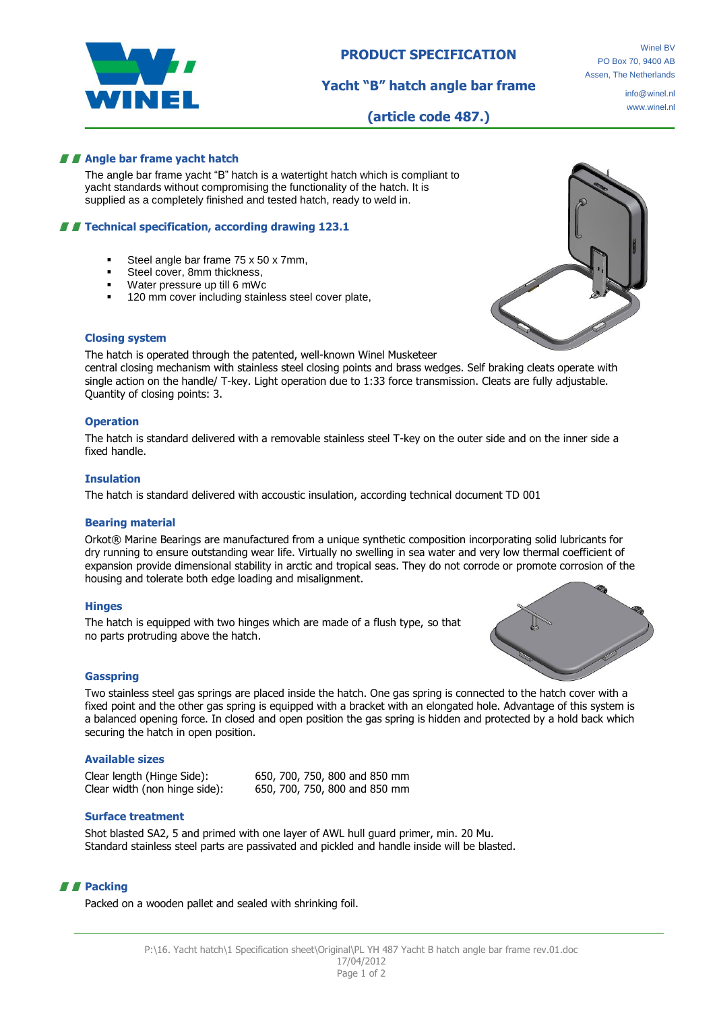

**Yacht "B" hatch angle bar frame**

info@winel.nl www.winel.nl

**(article code 487.)**

# **Angle bar frame yacht hatch**

The angle bar frame yacht "B" hatch is a watertight hatch which is compliant to yacht standards without compromising the functionality of the hatch. It is supplied as a completely finished and tested hatch, ready to weld in.

# **T** Technical specification, according drawing 123.1

- Steel angle bar frame 75 x 50 x 7mm.
- Steel cover, 8mm thickness,
- Water pressure up till 6 mWc
- 120 mm cover including stainless steel cover plate,



#### **Closing system**

The hatch is operated through the patented, well-known Winel Musketeer

central closing mechanism with stainless steel closing points and brass wedges. Self braking cleats operate with single action on the handle/ T-key. Light operation due to 1:33 force transmission. Cleats are fully adjustable. Quantity of closing points: 3.

#### **Operation**

The hatch is standard delivered with a removable stainless steel T-key on the outer side and on the inner side a fixed handle.

#### **Insulation**

The hatch is standard delivered with accoustic insulation, according technical document TD 001

### **Bearing material**

Orkot® Marine Bearings are manufactured from a unique synthetic composition incorporating solid lubricants for dry running to ensure outstanding wear life. Virtually no swelling in sea water and very low thermal coefficient of expansion provide dimensional stability in arctic and tropical seas. They do not corrode or promote corrosion of the housing and tolerate both edge loading and misalignment.

### **Hinges**

The hatch is equipped with two hinges which are made of a flush type, so that no parts protruding above the hatch.



### **Gasspring**

Two stainless steel gas springs are placed inside the hatch. One gas spring is connected to the hatch cover with a fixed point and the other gas spring is equipped with a bracket with an elongated hole. Advantage of this system is a balanced opening force. In closed and open position the gas spring is hidden and protected by a hold back which securing the hatch in open position.

### **Available sizes**

Clear length (Hinge Side): 650, 700, 750, 800 and 850 mm Clear width (non hinge side): 650, 700, 750, 800 and 850 mm

### **Surface treatment**

Shot blasted SA2, 5 and primed with one layer of AWL hull guard primer, min. 20 Mu. Standard stainless steel parts are passivated and pickled and handle inside will be blasted.

## **Packing**

Packed on a wooden pallet and sealed with shrinking foil.